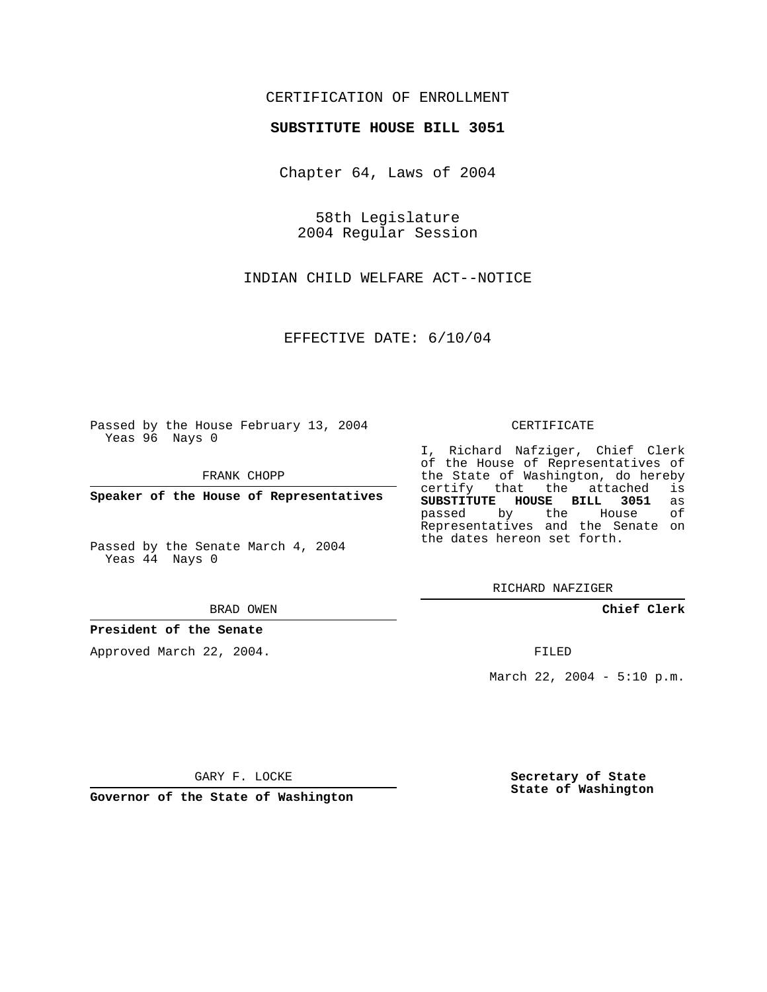### CERTIFICATION OF ENROLLMENT

#### **SUBSTITUTE HOUSE BILL 3051**

Chapter 64, Laws of 2004

58th Legislature 2004 Regular Session

INDIAN CHILD WELFARE ACT--NOTICE

EFFECTIVE DATE: 6/10/04

Passed by the House February 13, 2004 Yeas 96 Nays 0

FRANK CHOPP

**Speaker of the House of Representatives**

Passed by the Senate March 4, 2004 Yeas 44 Nays 0

#### BRAD OWEN

### **President of the Senate**

Approved March 22, 2004.

#### CERTIFICATE

I, Richard Nafziger, Chief Clerk of the House of Representatives of the State of Washington, do hereby<br>certify that the attached is certify that the attached **SUBSTITUTE HOUSE BILL 3051** as passed by the House Representatives and the Senate on the dates hereon set forth.

RICHARD NAFZIGER

**Chief Clerk**

FILED

March 22, 2004 - 5:10 p.m.

GARY F. LOCKE

**Governor of the State of Washington**

**Secretary of State State of Washington**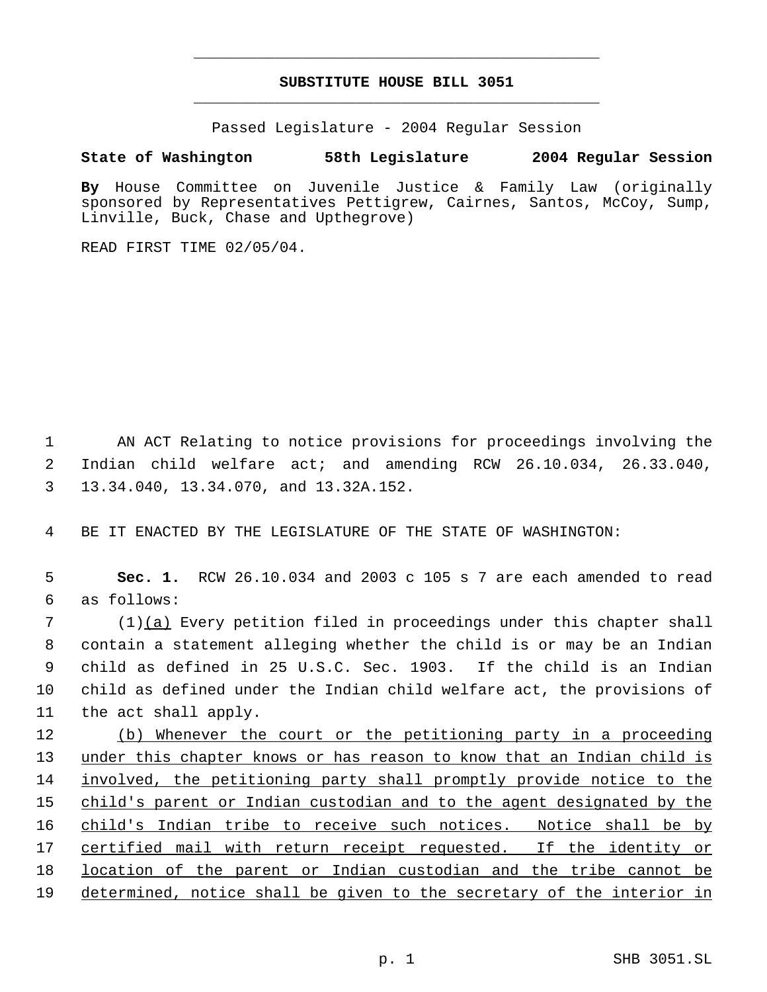# **SUBSTITUTE HOUSE BILL 3051** \_\_\_\_\_\_\_\_\_\_\_\_\_\_\_\_\_\_\_\_\_\_\_\_\_\_\_\_\_\_\_\_\_\_\_\_\_\_\_\_\_\_\_\_\_

\_\_\_\_\_\_\_\_\_\_\_\_\_\_\_\_\_\_\_\_\_\_\_\_\_\_\_\_\_\_\_\_\_\_\_\_\_\_\_\_\_\_\_\_\_

Passed Legislature - 2004 Regular Session

## **State of Washington 58th Legislature 2004 Regular Session**

**By** House Committee on Juvenile Justice & Family Law (originally sponsored by Representatives Pettigrew, Cairnes, Santos, McCoy, Sump, Linville, Buck, Chase and Upthegrove)

READ FIRST TIME 02/05/04.

 1 AN ACT Relating to notice provisions for proceedings involving the 2 Indian child welfare act; and amending RCW 26.10.034, 26.33.040, 3 13.34.040, 13.34.070, and 13.32A.152.

4 BE IT ENACTED BY THE LEGISLATURE OF THE STATE OF WASHINGTON:

 5 **Sec. 1.** RCW 26.10.034 and 2003 c 105 s 7 are each amended to read 6 as follows:

 (1)(a) Every petition filed in proceedings under this chapter shall contain a statement alleging whether the child is or may be an Indian child as defined in 25 U.S.C. Sec. 1903. If the child is an Indian child as defined under the Indian child welfare act, the provisions of the act shall apply.

12 (b) Whenever the court or the petitioning party in a proceeding 13 under this chapter knows or has reason to know that an Indian child is 14 involved, the petitioning party shall promptly provide notice to the 15 child's parent or Indian custodian and to the agent designated by the 16 child's Indian tribe to receive such notices. Notice shall be by 17 certified mail with return receipt requested. If the identity or 18 location of the parent or Indian custodian and the tribe cannot be 19 determined, notice shall be given to the secretary of the interior in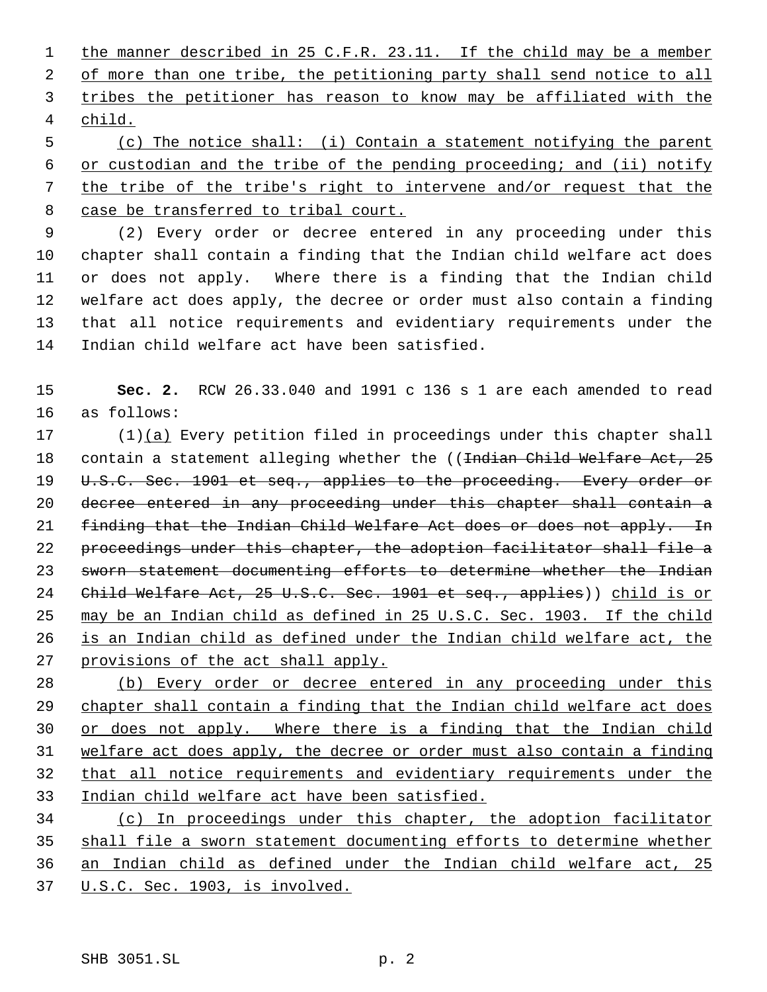1 the manner described in 25 C.F.R. 23.11. If the child may be a member of more than one tribe, the petitioning party shall send notice to all tribes the petitioner has reason to know may be affiliated with the child.

 (c) The notice shall: (i) Contain a statement notifying the parent or custodian and the tribe of the pending proceeding; and (ii) notify the tribe of the tribe's right to intervene and/or request that the case be transferred to tribal court.

 (2) Every order or decree entered in any proceeding under this chapter shall contain a finding that the Indian child welfare act does or does not apply. Where there is a finding that the Indian child welfare act does apply, the decree or order must also contain a finding that all notice requirements and evidentiary requirements under the Indian child welfare act have been satisfied.

 **Sec. 2.** RCW 26.33.040 and 1991 c 136 s 1 are each amended to read as follows:

 (1)(a) Every petition filed in proceedings under this chapter shall 18 contain a statement alleging whether the ((<del>Indian Child Welfare Act, 25</del> 19 U.S.C. Sec. 1901 et seq., applies to the proceeding. Every order or decree entered in any proceeding under this chapter shall contain a 21 finding that the Indian Child Welfare Act does or does not apply. In proceedings under this chapter, the adoption facilitator shall file a sworn statement documenting efforts to determine whether the Indian 24 Child Welfare Act, 25 U.S.C. Sec. 1901 et seq., applies)) child is or may be an Indian child as defined in 25 U.S.C. Sec. 1903. If the child is an Indian child as defined under the Indian child welfare act, the 27 provisions of the act shall apply.

 (b) Every order or decree entered in any proceeding under this chapter shall contain a finding that the Indian child welfare act does 30 or does not apply. Where there is a finding that the Indian child welfare act does apply, the decree or order must also contain a finding that all notice requirements and evidentiary requirements under the Indian child welfare act have been satisfied.

 (c) In proceedings under this chapter, the adoption facilitator shall file a sworn statement documenting efforts to determine whether an Indian child as defined under the Indian child welfare act, 25 U.S.C. Sec. 1903, is involved.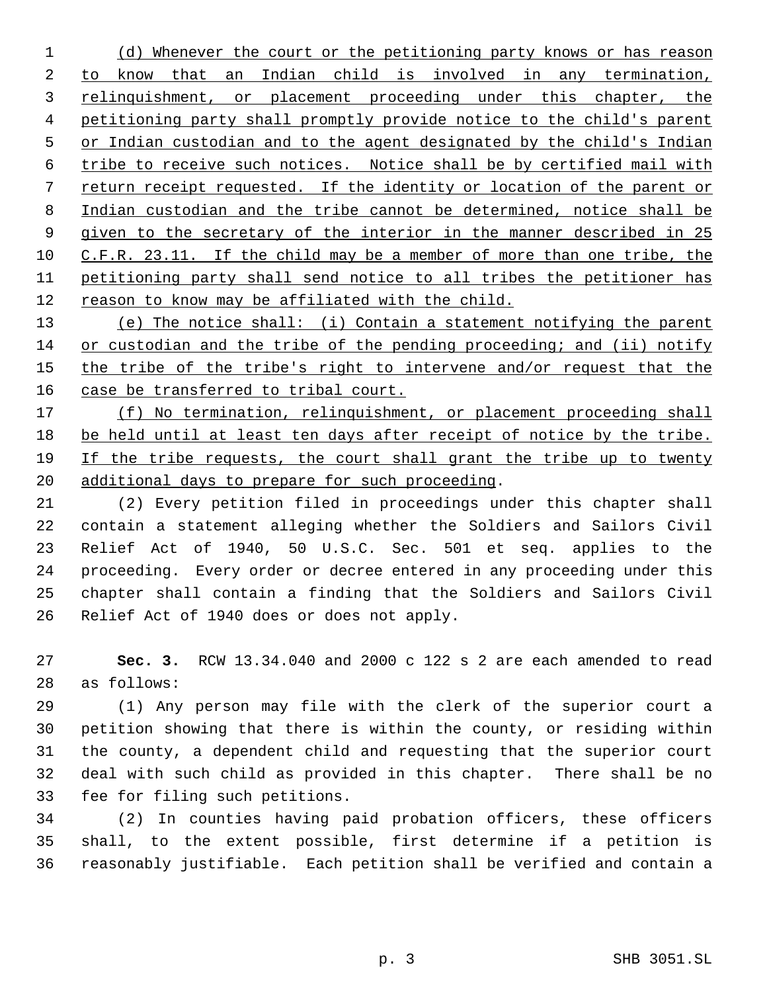1 (d) Whenever the court or the petitioning party knows or has reason to know that an Indian child is involved in any termination, 3 relinquishment, or placement proceeding under this chapter, the petitioning party shall promptly provide notice to the child's parent 5 or Indian custodian and to the agent designated by the child's Indian tribe to receive such notices. Notice shall be by certified mail with return receipt requested. If the identity or location of the parent or Indian custodian and the tribe cannot be determined, notice shall be given to the secretary of the interior in the manner described in 25 C.F.R. 23.11. If the child may be a member of more than one tribe, the petitioning party shall send notice to all tribes the petitioner has reason to know may be affiliated with the child.

 (e) The notice shall: (i) Contain a statement notifying the parent or custodian and the tribe of the pending proceeding; and (ii) notify 15 the tribe of the tribe's right to intervene and/or request that the 16 case be transferred to tribal court.

17 (f) No termination, relinquishment, or placement proceeding shall be held until at least ten days after receipt of notice by the tribe. If the tribe requests, the court shall grant the tribe up to twenty additional days to prepare for such proceeding.

 (2) Every petition filed in proceedings under this chapter shall contain a statement alleging whether the Soldiers and Sailors Civil Relief Act of 1940, 50 U.S.C. Sec. 501 et seq. applies to the proceeding. Every order or decree entered in any proceeding under this chapter shall contain a finding that the Soldiers and Sailors Civil Relief Act of 1940 does or does not apply.

 **Sec. 3.** RCW 13.34.040 and 2000 c 122 s 2 are each amended to read as follows:

 (1) Any person may file with the clerk of the superior court a petition showing that there is within the county, or residing within the county, a dependent child and requesting that the superior court deal with such child as provided in this chapter. There shall be no fee for filing such petitions.

 (2) In counties having paid probation officers, these officers shall, to the extent possible, first determine if a petition is reasonably justifiable. Each petition shall be verified and contain a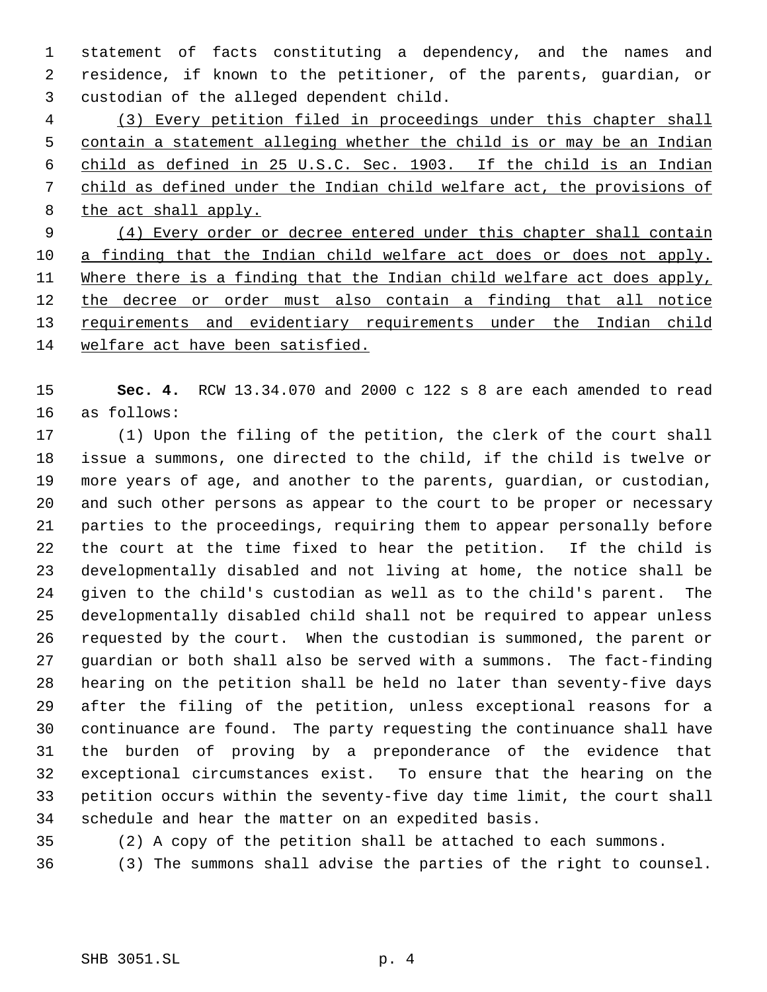statement of facts constituting a dependency, and the names and residence, if known to the petitioner, of the parents, guardian, or custodian of the alleged dependent child.

 (3) Every petition filed in proceedings under this chapter shall contain a statement alleging whether the child is or may be an Indian child as defined in 25 U.S.C. Sec. 1903. If the child is an Indian child as defined under the Indian child welfare act, the provisions of 8 the act shall apply.

 (4) Every order or decree entered under this chapter shall contain a finding that the Indian child welfare act does or does not apply. 11 Where there is a finding that the Indian child welfare act does apply, 12 the decree or order must also contain a finding that all notice 13 requirements and evidentiary requirements under the Indian child welfare act have been satisfied.

 **Sec. 4.** RCW 13.34.070 and 2000 c 122 s 8 are each amended to read as follows:

 (1) Upon the filing of the petition, the clerk of the court shall issue a summons, one directed to the child, if the child is twelve or more years of age, and another to the parents, guardian, or custodian, and such other persons as appear to the court to be proper or necessary parties to the proceedings, requiring them to appear personally before the court at the time fixed to hear the petition. If the child is developmentally disabled and not living at home, the notice shall be given to the child's custodian as well as to the child's parent. The developmentally disabled child shall not be required to appear unless requested by the court. When the custodian is summoned, the parent or guardian or both shall also be served with a summons. The fact-finding hearing on the petition shall be held no later than seventy-five days after the filing of the petition, unless exceptional reasons for a continuance are found. The party requesting the continuance shall have the burden of proving by a preponderance of the evidence that exceptional circumstances exist. To ensure that the hearing on the petition occurs within the seventy-five day time limit, the court shall schedule and hear the matter on an expedited basis.

(2) A copy of the petition shall be attached to each summons.

(3) The summons shall advise the parties of the right to counsel.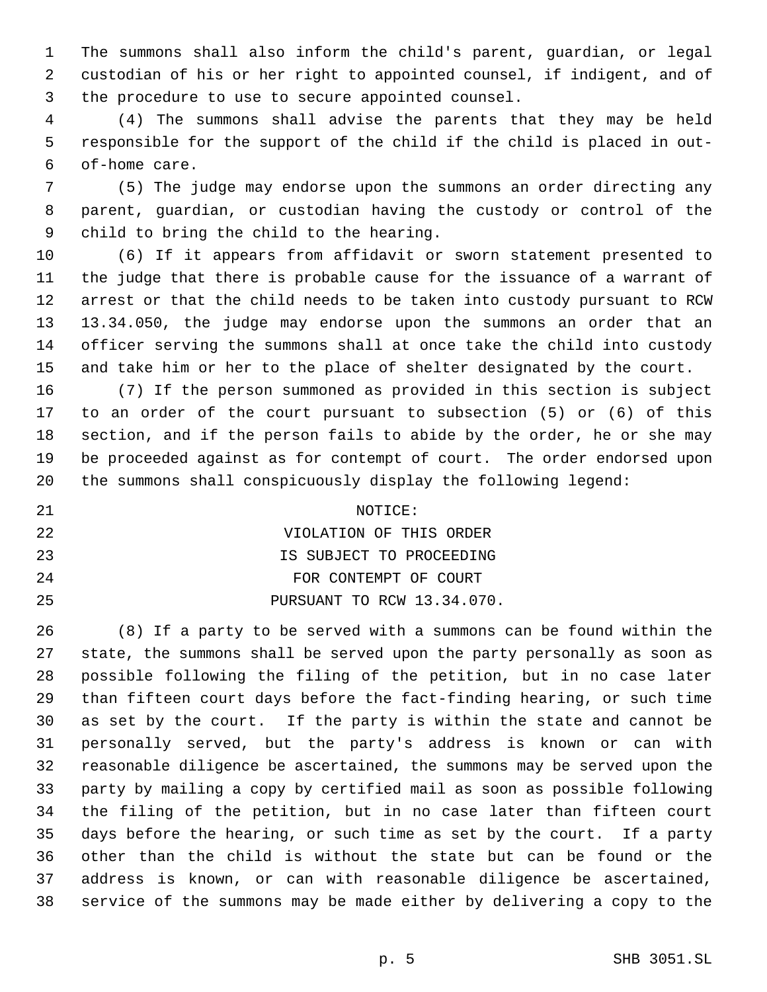The summons shall also inform the child's parent, guardian, or legal custodian of his or her right to appointed counsel, if indigent, and of the procedure to use to secure appointed counsel.

 (4) The summons shall advise the parents that they may be held responsible for the support of the child if the child is placed in out- of-home care.

 (5) The judge may endorse upon the summons an order directing any parent, guardian, or custodian having the custody or control of the child to bring the child to the hearing.

 (6) If it appears from affidavit or sworn statement presented to the judge that there is probable cause for the issuance of a warrant of arrest or that the child needs to be taken into custody pursuant to RCW 13.34.050, the judge may endorse upon the summons an order that an officer serving the summons shall at once take the child into custody and take him or her to the place of shelter designated by the court.

 (7) If the person summoned as provided in this section is subject to an order of the court pursuant to subsection (5) or (6) of this section, and if the person fails to abide by the order, he or she may be proceeded against as for contempt of court. The order endorsed upon the summons shall conspicuously display the following legend:

21 NOTICE: VIOLATION OF THIS ORDER IS SUBJECT TO PROCEEDING **FOR CONTEMPT OF COURT** PURSUANT TO RCW 13.34.070.

 (8) If a party to be served with a summons can be found within the state, the summons shall be served upon the party personally as soon as possible following the filing of the petition, but in no case later than fifteen court days before the fact-finding hearing, or such time as set by the court. If the party is within the state and cannot be personally served, but the party's address is known or can with reasonable diligence be ascertained, the summons may be served upon the party by mailing a copy by certified mail as soon as possible following the filing of the petition, but in no case later than fifteen court days before the hearing, or such time as set by the court. If a party other than the child is without the state but can be found or the address is known, or can with reasonable diligence be ascertained, service of the summons may be made either by delivering a copy to the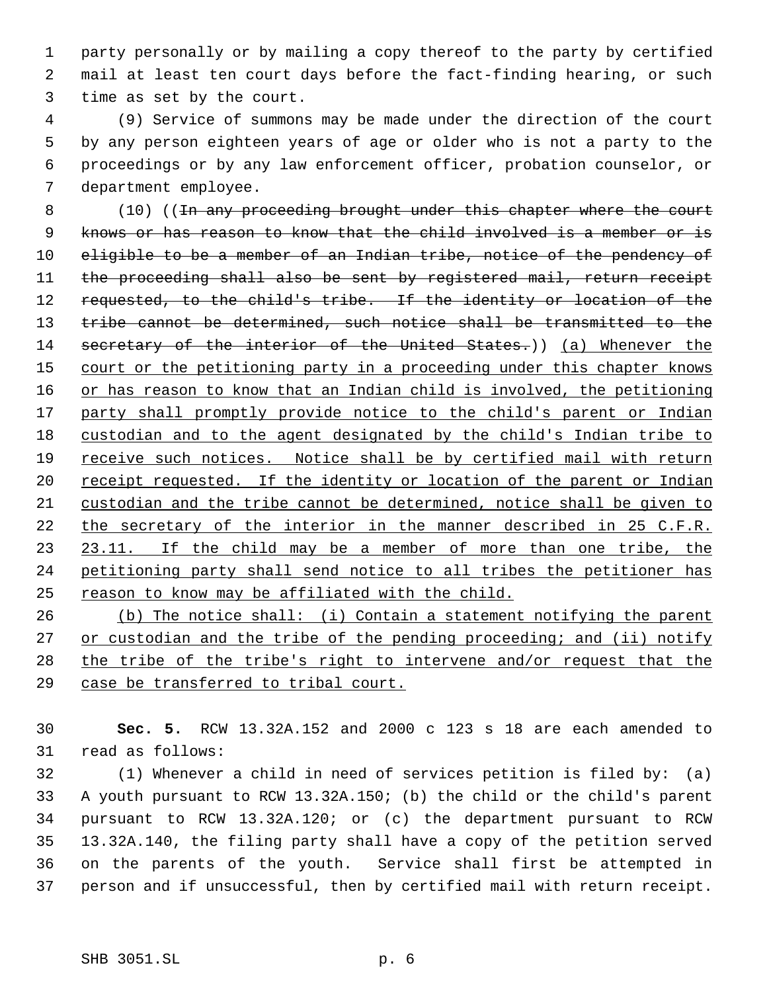party personally or by mailing a copy thereof to the party by certified mail at least ten court days before the fact-finding hearing, or such time as set by the court.

 (9) Service of summons may be made under the direction of the court by any person eighteen years of age or older who is not a party to the proceedings or by any law enforcement officer, probation counselor, or department employee.

8 (10) ((<del>In any proceeding brought under this chapter where the court</del> knows or has reason to know that the child involved is a member or is eligible to be a member of an Indian tribe, notice of the pendency of the proceeding shall also be sent by registered mail, return receipt requested, to the child's tribe. If the identity or location of the tribe cannot be determined, such notice shall be transmitted to the 14 secretary of the interior of the United States.)) (a) Whenever the 15 court or the petitioning party in a proceeding under this chapter knows or has reason to know that an Indian child is involved, the petitioning 17 party shall promptly provide notice to the child's parent or Indian custodian and to the agent designated by the child's Indian tribe to 19 receive such notices. Notice shall be by certified mail with return 20 receipt requested. If the identity or location of the parent or Indian custodian and the tribe cannot be determined, notice shall be given to the secretary of the interior in the manner described in 25 C.F.R. 23 23.11. If the child may be a member of more than one tribe, the petitioning party shall send notice to all tribes the petitioner has reason to know may be affiliated with the child.

 (b) The notice shall: (i) Contain a statement notifying the parent 27 or custodian and the tribe of the pending proceeding; and (ii) notify the tribe of the tribe's right to intervene and/or request that the case be transferred to tribal court.

 **Sec. 5.** RCW 13.32A.152 and 2000 c 123 s 18 are each amended to read as follows:

 (1) Whenever a child in need of services petition is filed by: (a) A youth pursuant to RCW 13.32A.150; (b) the child or the child's parent pursuant to RCW 13.32A.120; or (c) the department pursuant to RCW 13.32A.140, the filing party shall have a copy of the petition served on the parents of the youth. Service shall first be attempted in person and if unsuccessful, then by certified mail with return receipt.